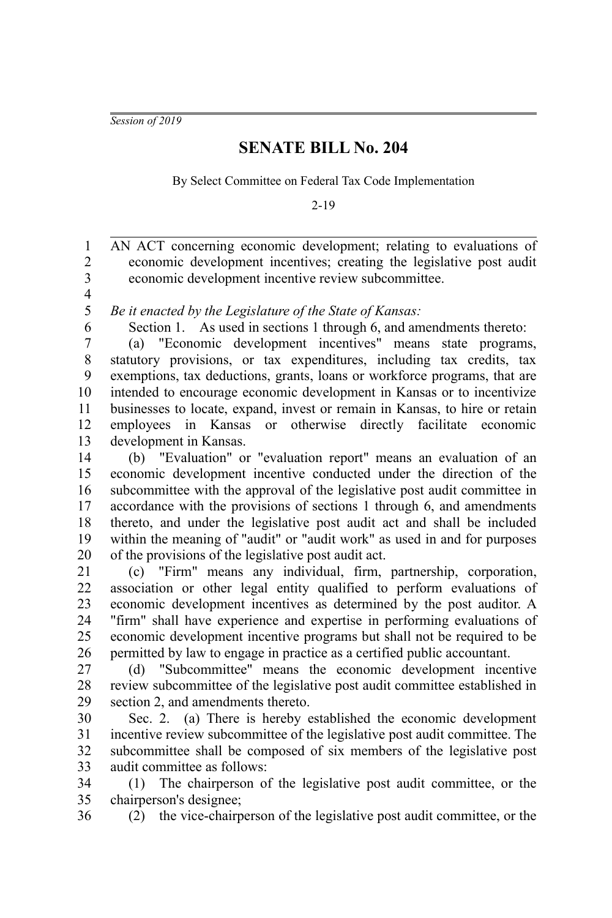*Session of 2019*

## **SENATE BILL No. 204**

By Select Committee on Federal Tax Code Implementation

2-19

AN ACT concerning economic development; relating to evaluations of economic development incentives; creating the legislative post audit economic development incentive review subcommittee. 1 2 3

4 5

6

*Be it enacted by the Legislature of the State of Kansas:*

Section 1. As used in sections 1 through 6, and amendments thereto:

(a) "Economic development incentives" means state programs, statutory provisions, or tax expenditures, including tax credits, tax exemptions, tax deductions, grants, loans or workforce programs, that are intended to encourage economic development in Kansas or to incentivize businesses to locate, expand, invest or remain in Kansas, to hire or retain employees in Kansas or otherwise directly facilitate economic development in Kansas. 7 8 9 10 11 12 13

(b) "Evaluation" or "evaluation report" means an evaluation of an economic development incentive conducted under the direction of the subcommittee with the approval of the legislative post audit committee in accordance with the provisions of sections 1 through 6, and amendments thereto, and under the legislative post audit act and shall be included within the meaning of "audit" or "audit work" as used in and for purposes of the provisions of the legislative post audit act. 14 15 16 17 18 19 20

(c) "Firm" means any individual, firm, partnership, corporation, association or other legal entity qualified to perform evaluations of economic development incentives as determined by the post auditor. A "firm" shall have experience and expertise in performing evaluations of economic development incentive programs but shall not be required to be permitted by law to engage in practice as a certified public accountant. 21 22 23 24 25 26

(d) "Subcommittee" means the economic development incentive review subcommittee of the legislative post audit committee established in section 2, and amendments thereto. 27 28 29

Sec. 2. (a) There is hereby established the economic development incentive review subcommittee of the legislative post audit committee. The subcommittee shall be composed of six members of the legislative post audit committee as follows: 30 31 32 33

(1) The chairperson of the legislative post audit committee, or the chairperson's designee; 34 35 36

(2) the vice-chairperson of the legislative post audit committee, or the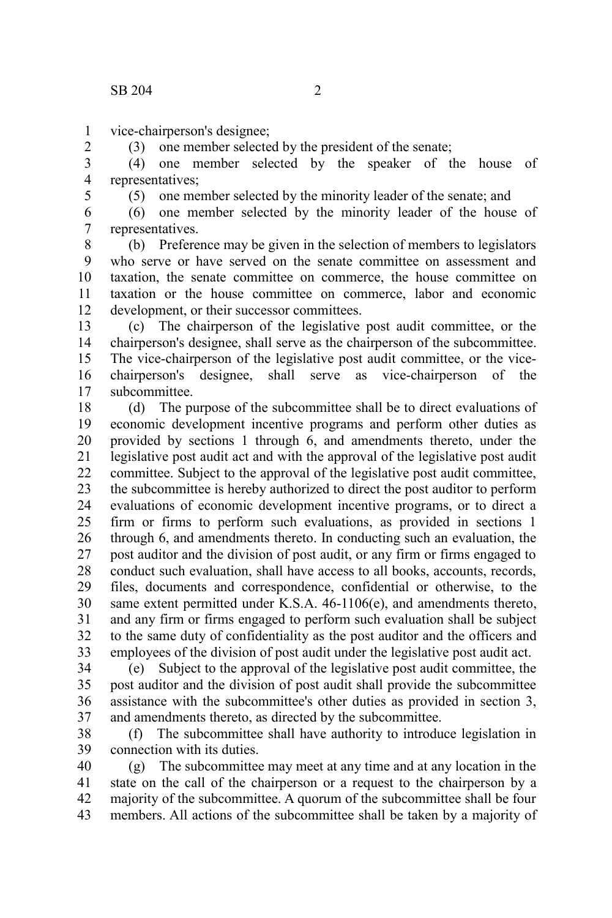vice-chairperson's designee; 1

(3) one member selected by the president of the senate;

(4) one member selected by the speaker of the house of representatives; 3 4

5

2

(5) one member selected by the minority leader of the senate; and

(6) one member selected by the minority leader of the house of representatives. 6 7

(b) Preference may be given in the selection of members to legislators who serve or have served on the senate committee on assessment and taxation, the senate committee on commerce, the house committee on taxation or the house committee on commerce, labor and economic development, or their successor committees. 8 9 10 11 12

(c) The chairperson of the legislative post audit committee, or the chairperson's designee, shall serve as the chairperson of the subcommittee. The vice-chairperson of the legislative post audit committee, or the vicechairperson's designee, shall serve as vice-chairperson of the subcommittee. 13 14 15 16 17

(d) The purpose of the subcommittee shall be to direct evaluations of economic development incentive programs and perform other duties as provided by sections 1 through 6, and amendments thereto, under the legislative post audit act and with the approval of the legislative post audit committee. Subject to the approval of the legislative post audit committee, the subcommittee is hereby authorized to direct the post auditor to perform evaluations of economic development incentive programs, or to direct a firm or firms to perform such evaluations, as provided in sections 1 through 6, and amendments thereto. In conducting such an evaluation, the post auditor and the division of post audit, or any firm or firms engaged to conduct such evaluation, shall have access to all books, accounts, records, files, documents and correspondence, confidential or otherwise, to the same extent permitted under K.S.A. 46-1106(e), and amendments thereto, and any firm or firms engaged to perform such evaluation shall be subject to the same duty of confidentiality as the post auditor and the officers and employees of the division of post audit under the legislative post audit act. 18 19 20 21 22 23 24 25 26 27 28 29 30 31 32 33

(e) Subject to the approval of the legislative post audit committee, the post auditor and the division of post audit shall provide the subcommittee assistance with the subcommittee's other duties as provided in section 3, and amendments thereto, as directed by the subcommittee. 34 35 36 37

(f) The subcommittee shall have authority to introduce legislation in connection with its duties. 38 39

(g) The subcommittee may meet at any time and at any location in the state on the call of the chairperson or a request to the chairperson by a majority of the subcommittee. A quorum of the subcommittee shall be four members. All actions of the subcommittee shall be taken by a majority of 40 41 42 43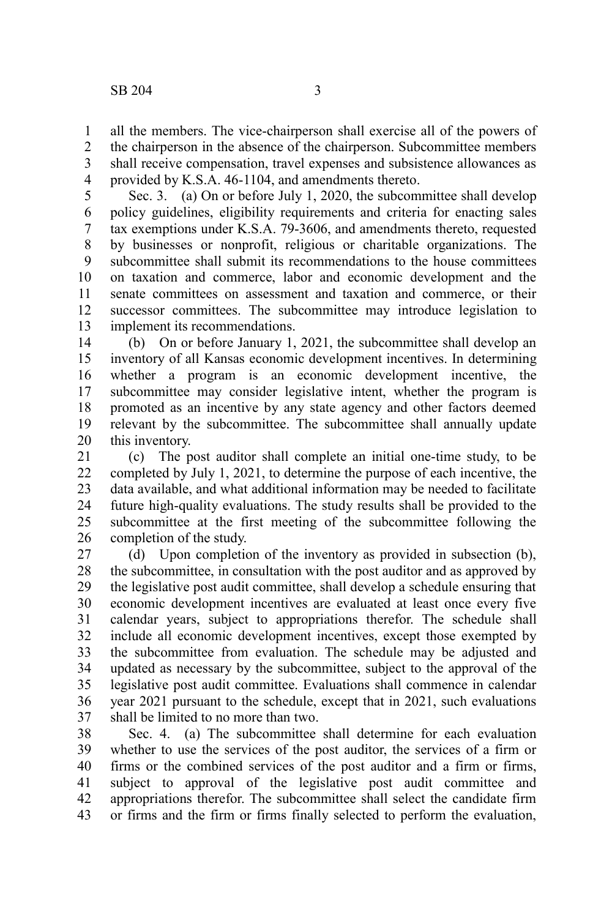all the members. The vice-chairperson shall exercise all of the powers of 1

the chairperson in the absence of the chairperson. Subcommittee members shall receive compensation, travel expenses and subsistence allowances as provided by K.S.A. 46-1104, and amendments thereto. 2 3 4

Sec. 3. (a) On or before July 1, 2020, the subcommittee shall develop policy guidelines, eligibility requirements and criteria for enacting sales tax exemptions under K.S.A. 79-3606, and amendments thereto, requested by businesses or nonprofit, religious or charitable organizations. The subcommittee shall submit its recommendations to the house committees on taxation and commerce, labor and economic development and the senate committees on assessment and taxation and commerce, or their successor committees. The subcommittee may introduce legislation to implement its recommendations. 5 6 7 8 9 10 11 12 13

(b) On or before January 1, 2021, the subcommittee shall develop an inventory of all Kansas economic development incentives. In determining whether a program is an economic development incentive, the subcommittee may consider legislative intent, whether the program is promoted as an incentive by any state agency and other factors deemed relevant by the subcommittee. The subcommittee shall annually update this inventory. 14 15 16 17 18 19 20

(c) The post auditor shall complete an initial one-time study, to be completed by July 1, 2021, to determine the purpose of each incentive, the data available, and what additional information may be needed to facilitate future high-quality evaluations. The study results shall be provided to the subcommittee at the first meeting of the subcommittee following the completion of the study. 21 22 23 24 25 26

(d) Upon completion of the inventory as provided in subsection (b), the subcommittee, in consultation with the post auditor and as approved by the legislative post audit committee, shall develop a schedule ensuring that economic development incentives are evaluated at least once every five calendar years, subject to appropriations therefor. The schedule shall include all economic development incentives, except those exempted by the subcommittee from evaluation. The schedule may be adjusted and updated as necessary by the subcommittee, subject to the approval of the legislative post audit committee. Evaluations shall commence in calendar year 2021 pursuant to the schedule, except that in 2021, such evaluations shall be limited to no more than two. 27 28 29 30 31 32 33 34 35 36 37

Sec. 4. (a) The subcommittee shall determine for each evaluation whether to use the services of the post auditor, the services of a firm or firms or the combined services of the post auditor and a firm or firms, subject to approval of the legislative post audit committee and appropriations therefor. The subcommittee shall select the candidate firm or firms and the firm or firms finally selected to perform the evaluation, 38 39 40 41 42 43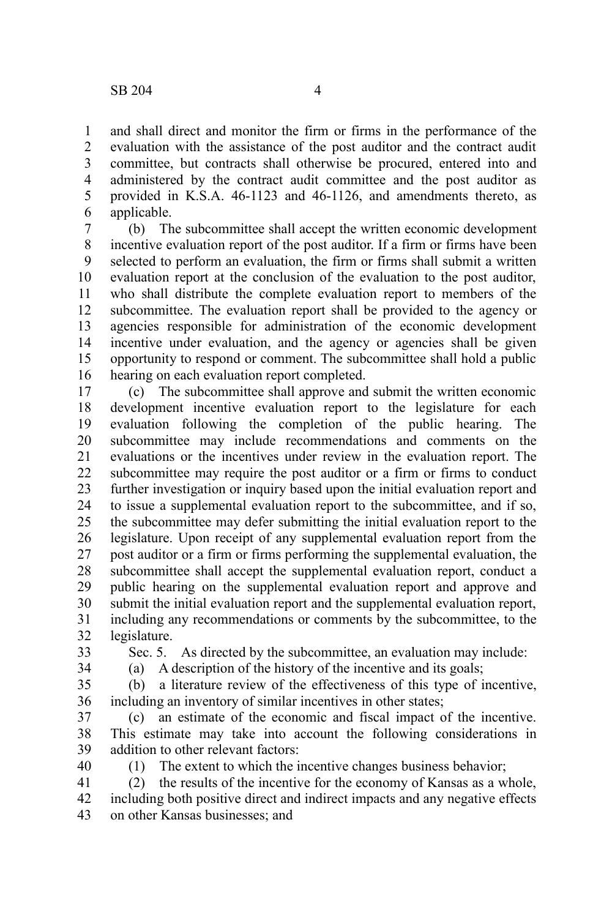and shall direct and monitor the firm or firms in the performance of the evaluation with the assistance of the post auditor and the contract audit committee, but contracts shall otherwise be procured, entered into and administered by the contract audit committee and the post auditor as provided in K.S.A. 46-1123 and 46-1126, and amendments thereto, as applicable. 1 2 3 4 5 6

(b) The subcommittee shall accept the written economic development incentive evaluation report of the post auditor. If a firm or firms have been selected to perform an evaluation, the firm or firms shall submit a written evaluation report at the conclusion of the evaluation to the post auditor, who shall distribute the complete evaluation report to members of the subcommittee. The evaluation report shall be provided to the agency or agencies responsible for administration of the economic development incentive under evaluation, and the agency or agencies shall be given opportunity to respond or comment. The subcommittee shall hold a public hearing on each evaluation report completed. 7 8 9 10 11 12 13 14 15 16

(c) The subcommittee shall approve and submit the written economic development incentive evaluation report to the legislature for each evaluation following the completion of the public hearing. The subcommittee may include recommendations and comments on the evaluations or the incentives under review in the evaluation report. The subcommittee may require the post auditor or a firm or firms to conduct further investigation or inquiry based upon the initial evaluation report and to issue a supplemental evaluation report to the subcommittee, and if so, the subcommittee may defer submitting the initial evaluation report to the legislature. Upon receipt of any supplemental evaluation report from the post auditor or a firm or firms performing the supplemental evaluation, the subcommittee shall accept the supplemental evaluation report, conduct a public hearing on the supplemental evaluation report and approve and submit the initial evaluation report and the supplemental evaluation report, including any recommendations or comments by the subcommittee, to the legislature. 17 18 19 20 21 22 23 24 25 26 27 28 29 30 31 32

33 34 Sec. 5. As directed by the subcommittee, an evaluation may include:

(a) A description of the history of the incentive and its goals;

(b) a literature review of the effectiveness of this type of incentive, including an inventory of similar incentives in other states; 35 36

- (c) an estimate of the economic and fiscal impact of the incentive. This estimate may take into account the following considerations in addition to other relevant factors: 37 38 39
- 40

(1) The extent to which the incentive changes business behavior;

(2) the results of the incentive for the economy of Kansas as a whole, including both positive direct and indirect impacts and any negative effects on other Kansas businesses; and 41 42 43